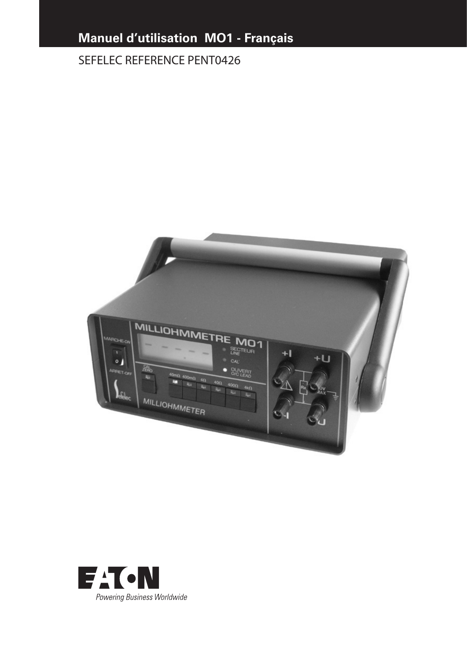# **Manuel d'utilisation MO1 - Français**

# SEFELEC REFERENCE PENT0426



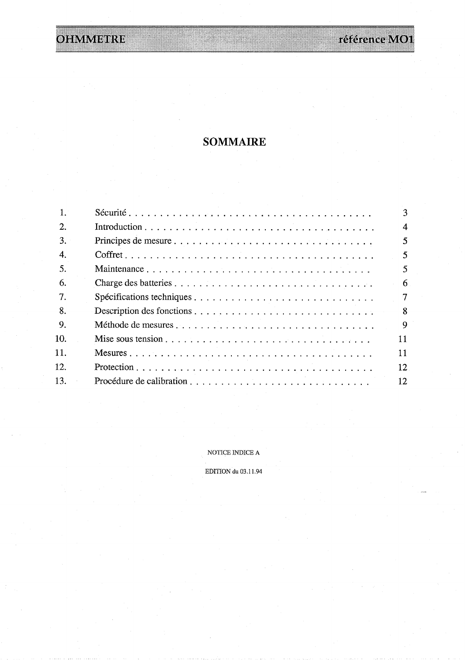référence MO1

# **OHMMEIRE**

# **SOMMAIRE**

|                  | 3                      |
|------------------|------------------------|
| $\overline{2}$ . | $\boldsymbol{\Lambda}$ |
| 3.               | 5.                     |
| 4.               | 5                      |
| .5.              | 5                      |
| 6.               | 6                      |
| 7.               | 7                      |
| 8.               | 8                      |
| 9.               | 9                      |
| 10.              | 11                     |
| 11.              | 11                     |
| 12.              | 12                     |
| 13.              | 12                     |

NOTICE INDICE  ${\bf A}$ 

EDITION du 03.11.94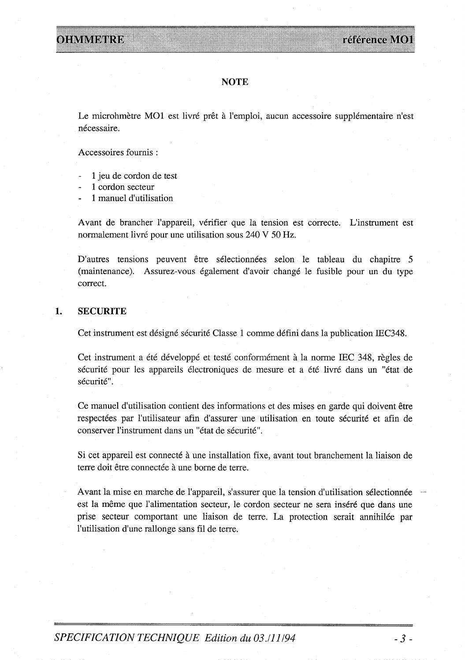## **NOTE**

Le microhmètre MO1 est livré prêt à l'emploi, aucun accessoire supplémentaire n'est nécessaire.

Accessoires fournis:

- 1 jeu de cordon de test
- 1 cordon secteur
- 1 manuel d'utilisation

Avant de brancher l'appareil, vérifier que la tension est correcte. L'instrument est normalement livré pour une utilisation sous 240 V 50 Hz.

D'autres tensions peuvent être sélectionnées selon le tableau du chapitre 5 (maintenance). Assurez-vous également d'avoir changé le fusible pour un du type correct.

#### $1.$ **SECURITE**

Cet instrument est désigné sécurité Classe 1 comme défini dans la publication IEC348.

Cet instrument a été développé et testé conformément à la norme IEC 348, règles de sécurité pour les appareils électroniques de mesure et a été livré dans un "état de sécurité".

Ce manuel d'utilisation contient des informations et des mises en garde qui doivent être respectées par l'utilisateur afin d'assurer une utilisation en toute sécurité et afin de conserver l'instrument dans un "état de sécurité".

Si cet appareil est connecté à une installation fixe, avant tout branchement la liaison de terre doit être connectée à une borne de terre.

Avant la mise en marche de l'appareil, s'assurer que la tension d'utilisation sélectionnée est la même que l'alimentation secteur, le cordon secteur ne sera inséré que dans une prise secteur comportant une liaison de terre. La protection serait annihilée par l'utilisation d'une rallonge sans fil de terre.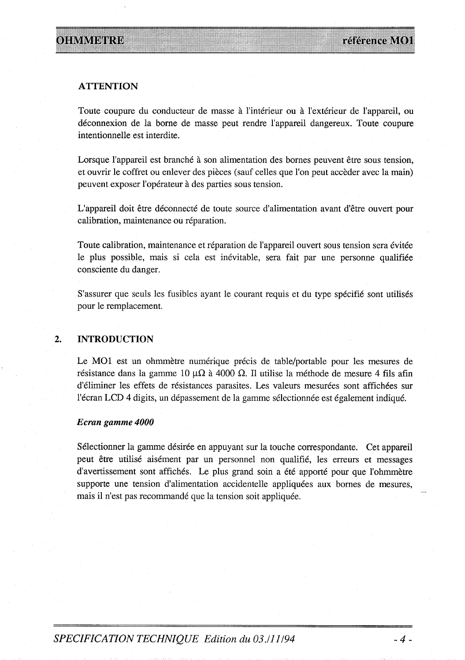## **ATTENTION**

Toute coupure du conducteur de masse à l'intérieur ou à l'extérieur de l'appareil, ou déconnexion de la borne de masse peut rendre l'appareil dangereux. Toute coupure intentionnelle est interdite.

Lorsque l'appareil est branché à son alimentation des bornes peuvent être sous tension, et ouvrir le coffret ou enlever des pièces (sauf celles que l'on peut accèder avec la main) peuvent exposer l'opérateur à des parties sous tension.

L'appareil doit être déconnecté de toute source d'alimentation avant d'être ouvert pour calibration, maintenance ou réparation.

Toute calibration, maintenance et réparation de l'appareil ouvert sous tension sera évitée le plus possible, mais si cela est inévitable, sera fait par une personne qualifiée consciente du danger.

S'assurer que seuls les fusibles ayant le courant requis et du type spécifié sont utilisés pour le remplacement.

#### $\overline{2}$ . **INTRODUCTION**

Le MO1 est un ohmmètre numérique précis de table/portable pour les mesures de résistance dans la gamme 10  $\mu\Omega$  à 4000  $\Omega$ . Il utilise la méthode de mesure 4 fils afin d'éliminer les effets de résistances parasites. Les valeurs mesurées sont affichées sur l'écran LCD 4 digits, un dépassement de la gamme sélectionnée est également indiqué.

## Ecran gamme 4000

Sélectionner la gamme désirée en appuyant sur la touche correspondante. Cet appareil peut être utilisé aisément par un personnel non qualifié, les erreurs et messages d'avertissement sont affichés. Le plus grand soin a été apporté pour que l'ohmmètre supporte une tension d'alimentation accidentelle appliquées aux bornes de mesures, mais il n'est pas recommandé que la tension soit appliquée.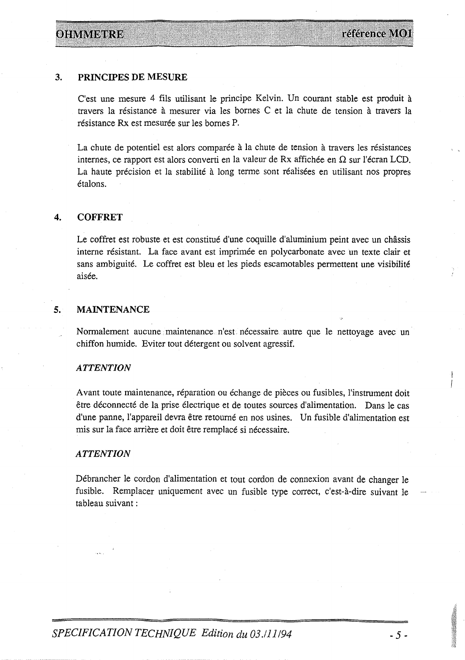# **OHMME RE**

### $3.$ PRINCIPES DE MESURE

C'est une mesure 4 fils utilisant le principe Kelvin. Un courant stable est produit à travers la résistance à mesurer via les bornes C et la chute de tension à travers la résistance Rx est mesurée sur les bornes P.

La chute de potentiel est alors comparée à la chute de tension à travers les résistances internes, ce rapport est alors converti en la valeur de Rx affichée en  $\Omega$  sur l'écran LCD. La haute précision et la stabilité à long terme sont réalisées en utilisant nos propres étalons.

### $\overline{4}$ . **COFFRET**

Le coffret est robuste et est constitué d'une coquille d'aluminium peint avec un châssis interne résistant. La face avant est imprimée en polycarbonate avec un texte clair et sans ambiguité. Le coffret est bleu et les pieds escamotables permettent une visibilité aisée.

### 5. **MAINTENANCE**

Normalement aucune maintenance n'est nécessaire autre que le nettoyage avec un chiffon humide. Eviter tout détergent ou solvent agressif.

# **ATTENTION**

Avant toute maintenance, réparation ou échange de pièces ou fusibles, l'instrument doit être déconnecté de la prise électrique et de toutes sources d'alimentation. Dans le cas d'une panne, l'appareil devra être retourné en nos usines. Un fusible d'alimentation est mis sur la face arrière et doit être remplacé si nécessaire.

# **ATTENTION**

Débrancher le cordon d'alimentation et tout cordon de connexion avant de changer le fusible. Remplacer uniquement avec un fusible type correct, c'est-à-dire suivant le tableau suivant :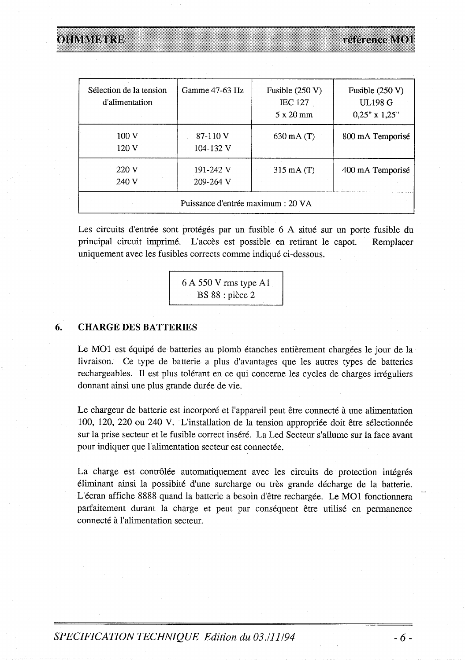ohvivere

| Sélection de la tension<br>d'alimentation | Gamme 47-63 Hz             | Fusible $(250 V)$<br><b>IEC 127</b><br>$5 \times 20$ mm | Fusible $(250 V)$<br><b>UL198 G</b><br>$0,25"$ x $1,25"$ |  |  |  |  |
|-------------------------------------------|----------------------------|---------------------------------------------------------|----------------------------------------------------------|--|--|--|--|
| 100 V<br>120 V                            | 87-110 V<br>104-132 V      | $630 \text{ mA}$ (T)                                    | 800 mA Temporisé                                         |  |  |  |  |
| 220 V<br>240 V                            | 191-242 V<br>$209 - 264$ V | $315 \text{ mA}$ (T)                                    | 400 mA Temporisé                                         |  |  |  |  |
| Puissance d'entrée maximum : 20 VA        |                            |                                                         |                                                          |  |  |  |  |

Les circuits d'entrée sont protégés par un fusible 6 A situé sur un porte fusible du principal circuit imprimé. L'accès est possible en retirant le capot. Remplacer uniquement avec les fusibles corrects comme indiqué ci-dessous.

> 6 A 550 V rms type A1 BS 88 : pièce 2

### 6. **CHARGE DES BATTERIES**

Le MO1 est équipé de batteries au plomb étanches entièrement chargées le jour de la livraison. Ce type de batterie a plus d'avantages que les autres types de batteries rechargeables. Il est plus tolérant en ce qui concerne les cycles de charges irréguliers donnant ainsi une plus grande durée de vie.

Le chargeur de batterie est incorporé et l'appareil peut être connecté à une alimentation 100, 120, 220 ou 240 V. L'installation de la tension appropriée doit être sélectionnée sur la prise secteur et le fusible correct inséré. La Led Secteur s'allume sur la face avant pour indiquer que l'alimentation secteur est connectée.

La charge est contrôlée automatiquement avec les circuits de protection intégrés éliminant ainsi la possibité d'une surcharge ou très grande décharge de la batterie. L'écran affiche 8888 quand la batterie a besoin d'être rechargée. Le MO1 fonctionnera parfaitement durant la charge et peut par conséquent être utilisé en permanence connecté à l'alimentation secteur.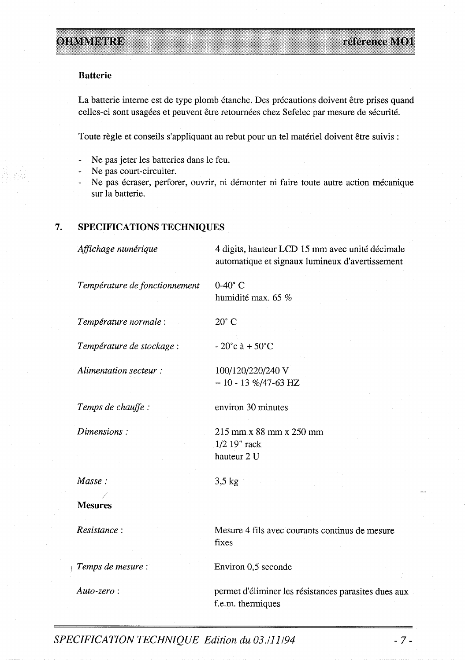## **Batterie**

La batterie interne est de type plomb étanche. Des précautions doivent être prises quand celles-ci sont usagées et peuvent être retournées chez Sefelec par mesure de sécurité.

Toute règle et conseils s'appliquant au rebut pour un tel matériel doivent être suivis :

- Ne pas jeter les batteries dans le feu.
- Ne pas court-circuiter.
- Ne pas écraser, perforer, ouvrir, ni démonter ni faire toute autre action mécanique sur la batterie.

### 7. SPECIFICATIONS TECHNIQUES

Affichage numérique 4 digits, hauteur LCD 15 mm avec unité décimale automatique et signaux lumineux d'avertissement Température de fonctionnement  $0-40^\circ$  C humidité max. 65 % Température normale :  $20^{\circ}$  C Température de stockage :  $-20^{\circ}c \; \hat{a} + 50^{\circ}C$ Alimentation secteur: 100/120/220/240 V  $+10 - 13 \% / 47 - 63 HZ$ Temps de chauffe : environ 30 minutes Dimensions: 215 mm x 88 mm x 250 mm 1/2 19" rack hauteur 2 U Masse:  $3,5$  kg **Mesures** Resistance: Mesure 4 fils avec courants continus de mesure fixes Environ 0,5 seconde Temps de mesure : Auto-zero: permet d'éliminer les résistances parasites dues aux f.e.m. thermiques

SPECIFICATION TECHNIQUE Edition du 03./11/94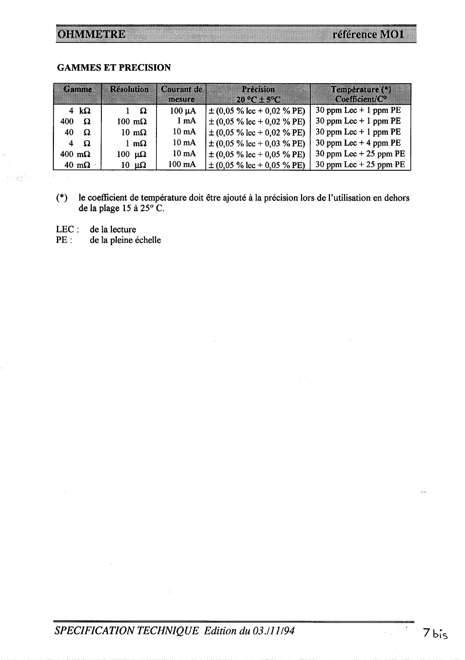# **OHMMETRE**

## **GAMMES ET PRECISION**

|                       | kohtaan              |                       | Rendman Romanide<br>mama | ,,,,,,,,,,<br><b>DIRA 2002-200</b>             | I CDRAMA (S<br>an mana   |
|-----------------------|----------------------|-----------------------|--------------------------|------------------------------------------------|--------------------------|
|                       | 4 $\mathbf{k}\Omega$ | $1 \Omega$            | $100 \mu A$              | $\pm (0.05\% \text{ lec} + 0.02\% \text{ PE})$ | 30 ppm Lec $+$ 1 ppm PE  |
| 400-                  | Ω                    | $100 \text{ m}\Omega$ | $1 \text{ mA}$           | $\pm (0.05\% \text{ lec} + 0.02\% \text{ PE})$ | 30 ppm Lec $+$ 1 ppm PE  |
| 40                    | Ω                    | $10 \text{ m}\Omega$  | $10 \text{ mA}$          | $\pm (0.05\% \text{ lec} + 0.02\% \text{ PE})$ | 30 ppm Lec $+$ 1 ppm PE  |
|                       | $4\Omega$            | 1 m $\Omega$          | $10 \text{ mA}$          | $\pm (0.05\% \text{ lec} + 0.03\% \text{ PE})$ | 30 ppm Lec $+$ 4 ppm PE  |
| $400 \text{ m}\Omega$ |                      | 100 μΩ                | $10 \text{ mA}$          | $\pm (0.05\% \text{ lec} + 0.05\% \text{ PE})$ | 30 ppm Lec $+$ 25 ppm PE |
|                       | $40 \text{ m}\Omega$ | $10 \mu\Omega$        | $100 \text{ mA}$         | $\pm (0.05\% \text{ lec} + 0.05\% \text{ PE})$ | 30 ppm Lec $+$ 25 ppm PE |

le coefficient de température doit être ajouté à la précision lors de l'utilisation en dehors de la plage 15 à 25 $^{\circ}$ C.  $(*)$ 

de la lecture  $LEC$  :

de la pleine échelle  $PE:$ 

# SPECIFICATION TECHNIQUE Edition du 03./11/94

i<br>Ball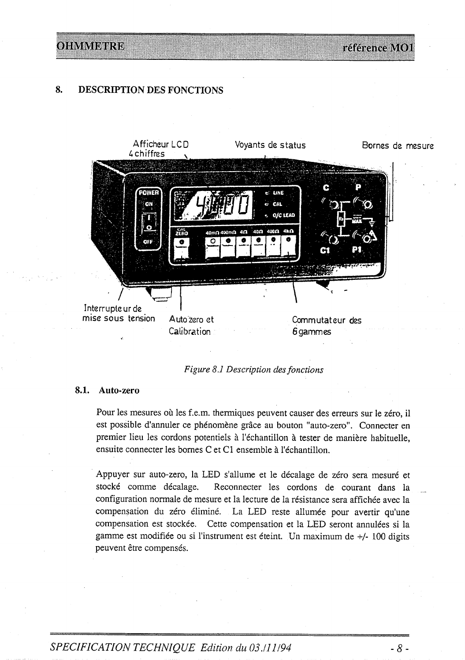reference V(0)

### 8. **DESCRIPTION DES FONCTIONS**

OHMMEIRE



Figure 8.1 Description des fonctions

## 8.1. Auto-zero

Pour les mesures où les f.e.m. thermiques peuvent causer des erreurs sur le zéro, il est possible d'annuler ce phénomène grâce au bouton "auto-zero". Connecter en premier lieu les cordons potentiels à l'échantillon à tester de manière habituelle, ensuite connecter les bornes C et C1 ensemble à l'échantillon.

Appuyer sur auto-zero, la LED s'allume et le décalage de zéro sera mesuré et stocké comme décalage. Reconnecter les cordons de courant dans la configuration normale de mesure et la lecture de la résistance sera affichée avec la compensation du zéro éliminé. La LED reste allumée pour avertir qu'une compensation est stockée. Cette compensation et la LED seront annulées si la gamme est modifiée ou si l'instrument est éteint. Un maximum de +/- 100 digits peuvent être compensés.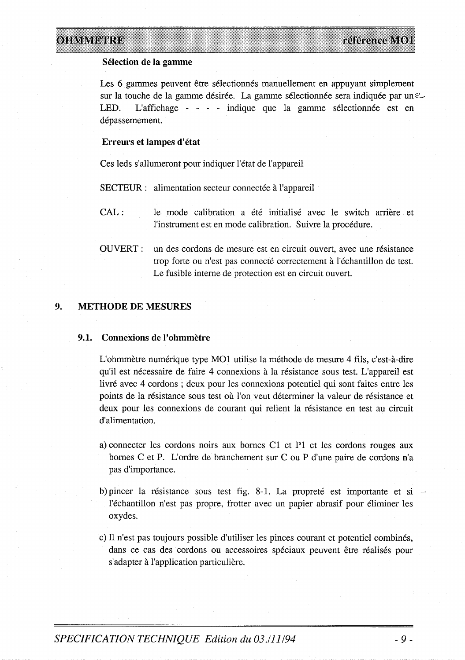# OHMMDIRE

## Sélection de la gamme

Les 6 gammes peuvent être sélectionnés manuellement en appuyant simplement sur la touche de la gamme désirée. La gamme sélectionnée sera indiquée par une LED. L'affichage - - - - indique que la gamme sélectionnée est en dépassemement.

## Erreurs et lampes d'état

Ces leds s'allumeront pour indiquer l'état de l'appareil

SECTEUR : alimentation secteur connectée à l'appareil

 $CAL:$ le mode calibration a été initialisé avec le switch arrière et l'instrument est en mode calibration. Suivre la procédure.

**OUVERT:** un des cordons de mesure est en circuit ouvert, avec une résistance trop forte ou n'est pas connecté correctement à l'échantillon de test. Le fusible interne de protection est en circuit ouvert.

#### $9<sub>r</sub>$ **METHODE DE MESURES**

#### $9.1.$ Connexions de l'ohmmètre

L'ohmmètre numérique type MO1 utilise la méthode de mesure 4 fils, c'est-à-dire qu'il est nécessaire de faire 4 connexions à la résistance sous test. L'appareil est livré avec 4 cordons; deux pour les connexions potentiel qui sont faites entre les points de la résistance sous test où l'on veut déterminer la valeur de résistance et deux pour les connexions de courant qui relient la résistance en test au circuit d'alimentation.

- a) connecter les cordons noirs aux bornes C1 et P1 et les cordons rouges aux bornes C et P. L'ordre de branchement sur C ou P d'une paire de cordons n'a pas d'importance.
- b) pincer la résistance sous test fig. 8-1. La propreté est importante et si l'échantillon n'est pas propre, frotter avec un papier abrasif pour éliminer les oxydes.
- c) Il n'est pas toujours possible d'utiliser les pinces courant et potentiel combinés, dans ce cas des cordons ou accessoires spéciaux peuvent être réalisés pour s'adapter à l'application particulière.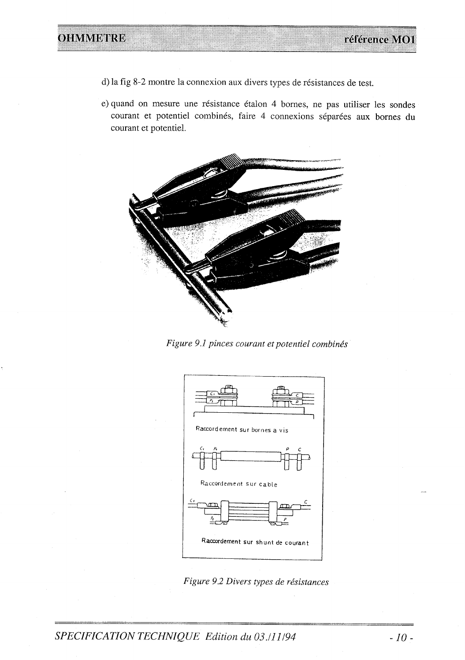- d) la fig 8-2 montre la connexion aux divers types de résistances de test.
- e) quand on mesure une résistance étalon 4 bornes, ne pas utiliser les sondes courant et potentiel combinés, faire 4 connexions séparées aux bornes du courant et potentiel.



Figure 9.1 pinces courant et potentiel combinés



Figure 9.2 Divers types de résistances

SPECIFICATION TECHNIQUE Edition du 03./11/94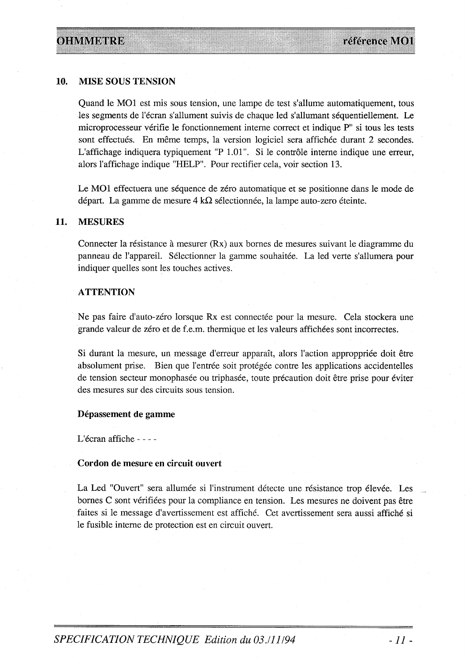#### 10. **MISE SOUS TENSION**

Quand le MO1 est mis sous tension, une lampe de test s'allume automatiquement, tous les segments de l'écran s'allument suivis de chaque led s'allumant séquentiellement. Le microprocesseur vérifie le fonctionnement interne correct et indique P" si tous les tests sont effectués. En même temps, la version logiciel sera affichée durant 2 secondes. L'affichage indiquera typiquement "P 1.01". Si le contrôle interne indique une erreur, alors l'affichage indique "HELP". Pour rectifier cela, voir section 13.

Le MO1 effectuera une séquence de zéro automatique et se positionne dans le mode de départ. La gamme de mesure 4 k $\Omega$  sélectionnée, la lampe auto-zero éteinte.

#### 11. **MESURES**

Connecter la résistance à mesurer (Rx) aux bornes de mesures suivant le diagramme du panneau de l'appareil. Sélectionner la gamme souhaitée. La led verte s'allumera pour indiquer quelles sont les touches actives.

## **ATTENTION**

Ne pas faire d'auto-zéro lorsque Rx est connectée pour la mesure. Cela stockera une grande valeur de zéro et de f.e.m. thermique et les valeurs affichées sont incorrectes.

Si durant la mesure, un message d'erreur apparaît, alors l'action approppriée doit être absolument prise. Bien que l'entrée soit protégée contre les applications accidentelles de tension secteur monophasée ou triphasée, toute précaution doit être prise pour éviter des mesures sur des circuits sous tension.

## Dépassement de gamme

L'écran affiche - - - -

## Cordon de mesure en circuit ouvert

La Led "Ouvert" sera allumée si l'instrument détecte une résistance trop élevée. Les bornes C sont vérifiées pour la compliance en tension. Les mesures ne doivent pas être faites si le message d'avertissement est affiché. Cet avertissement sera aussi affiché si le fusible interne de protection est en circuit ouvert.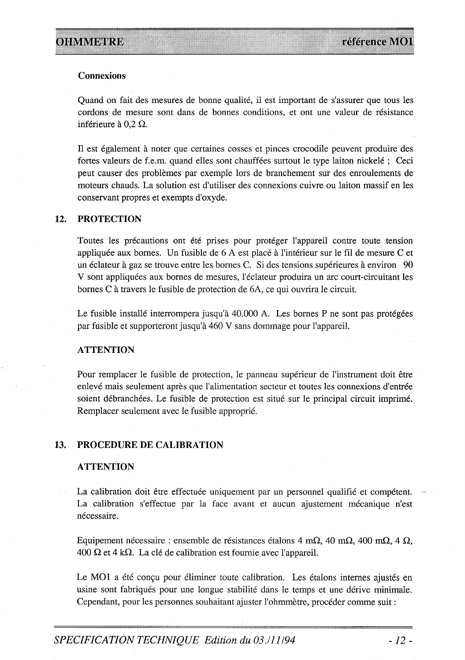## **Connexions**

Quand on fait des mesures de bonne qualité, il est important de s'assurer que tous les cordons de mesure sont dans de bonnes conditions, et ont une valeur de résistance inférieure à 0.2  $\Omega$ .

Il est également à noter que certaines cosses et pinces crocodile peuvent produire des fortes valeurs de f.e.m. quand elles sont chauffées surtout le type laiton nickelé; Ceci peut causer des problèmes par exemple lors de branchement sur des enroulements de moteurs chauds. La solution est d'utiliser des connexions cuivre ou laiton massif en les conservant propres et exempts d'oxyde.

### 12. **PROTECTION**

Toutes les précautions ont été prises pour protéger l'appareil contre toute tension appliquée aux bornes. Un fusible de 6 A est placé à l'intérieur sur le fil de mesure C et un éclateur à gaz se trouve entre les bornes C. Si des tensions supérieures à environ 90 V sont appliquées aux bornes de mesures, l'éclateur produira un arc court-circuitant les bornes C à travers le fusible de protection de 6A, ce qui ouvrira le circuit.

Le fusible installé interrompera jusqu'à 40.000 A. Les bornes P ne sont pas protégées par fusible et supporteront jusqu'à 460 V sans dommage pour l'appareil.

## **ATTENTION**

Pour remplacer le fusible de protection, le panneau supérieur de l'instrument doit être enlevé mais seulement après que l'alimentation secteur et toutes les connexions d'entrée soient débranchées. Le fusible de protection est situé sur le principal circuit imprimé. Remplacer seulement avec le fusible approprié.

#### 13. PROCEDURE DE CALIBRATION

## **ATTENTION**

La calibration doit être effectuée uniquement par un personnel qualifié et compétent. La calibration s'effectue par la face avant et aucun ajustement mécanique n'est nécessaire.

Equipement nécessaire : ensemble de résistances étalons 4 m $\Omega$ , 40 m $\Omega$ , 400 m $\Omega$ , 4  $\Omega$ , 400  $\Omega$  et 4 k $\Omega$ . La clé de calibration est fournie avec l'appareil.

Le MO1 a été conçu pour éliminer toute calibration. Les étalons internes ajustés en usine sont fabriqués pour une longue stabilité dans le temps et une dérive minimale. Cependant, pour les personnes souhaitant ajuster l'ohmmètre, procéder comme suit :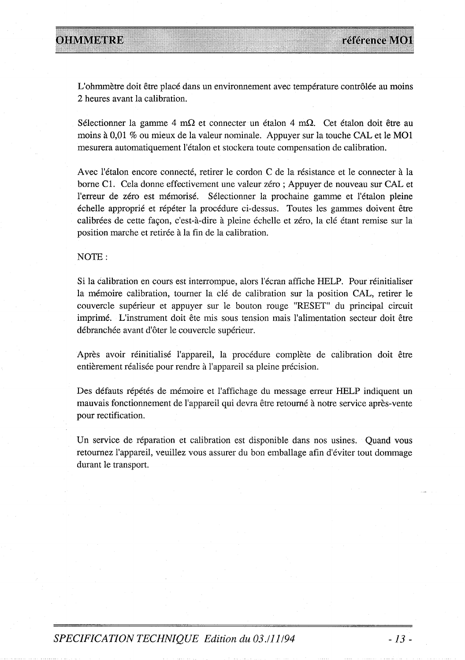L'ohmmètre doit être placé dans un environnement avec température contrôlée au moins 2 heures avant la calibration.

Sélectionner la gamme 4 m $\Omega$  et connecter un étalon 4 m $\Omega$ . Cet étalon doit être au moins à 0,01 % ou mieux de la valeur nominale. Appuyer sur la touche CAL et le MO1 mesurera automatiquement l'étalon et stockera toute compensation de calibration.

Avec l'étalon encore connecté, retirer le cordon C de la résistance et le connecter à la borne C1. Cela donne effectivement une valeur zéro; Appuyer de nouveau sur CAL et l'erreur de zéro est mémorisé. Sélectionner la prochaine gamme et l'étalon pleine échelle approprié et répéter la procédure ci-dessus. Toutes les gammes doivent être calibrées de cette façon, c'est-à-dire à pleine échelle et zéro, la clé étant remise sur la position marche et retirée à la fin de la calibration.

NOTE:

Si la calibration en cours est interrompue, alors l'écran affiche HELP. Pour réinitialiser la mémoire calibration, tourner la clé de calibration sur la position CAL, retirer le couvercle supérieur et appuyer sur le bouton rouge "RESET" du principal circuit imprimé. L'instrument doit ête mis sous tension mais l'alimentation secteur doit être débranchée avant d'ôter le couvercle supérieur.

Après avoir réinitialisé l'appareil, la procédure complète de calibration doit être entièrement réalisée pour rendre à l'appareil sa pleine précision.

Des défauts répétés de mémoire et l'affichage du message erreur HELP indiquent un mauvais fonctionnement de l'appareil qui devra être retourné à notre service après-vente pour rectification.

Un service de réparation et calibration est disponible dans nos usines. Quand vous retournez l'appareil, veuillez vous assurer du bon emballage afin d'éviter tout dommage durant le transport.